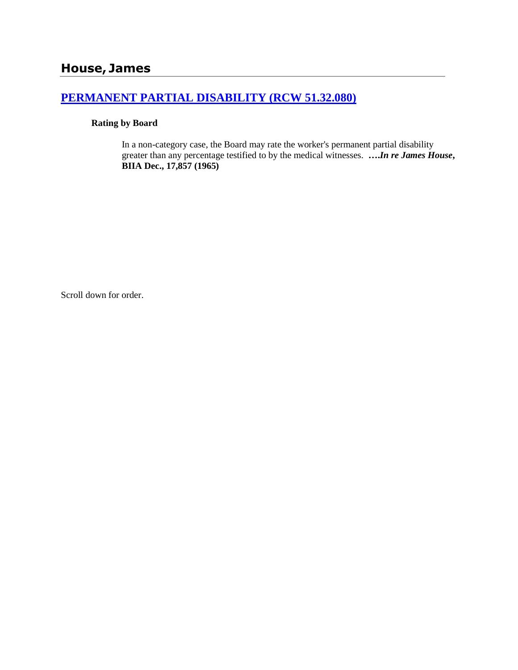# **[PERMANENT PARTIAL DISABILITY \(RCW 51.32.080\)](http://www.biia.wa.gov/SDSubjectIndex.html#PERMANENT_PARTIAL_DISABILITY)**

### **Rating by Board**

In a non-category case, the Board may rate the worker's permanent partial disability greater than any percentage testified to by the medical witnesses. **….***In re James House***, BIIA Dec., 17,857 (1965)** 

Scroll down for order.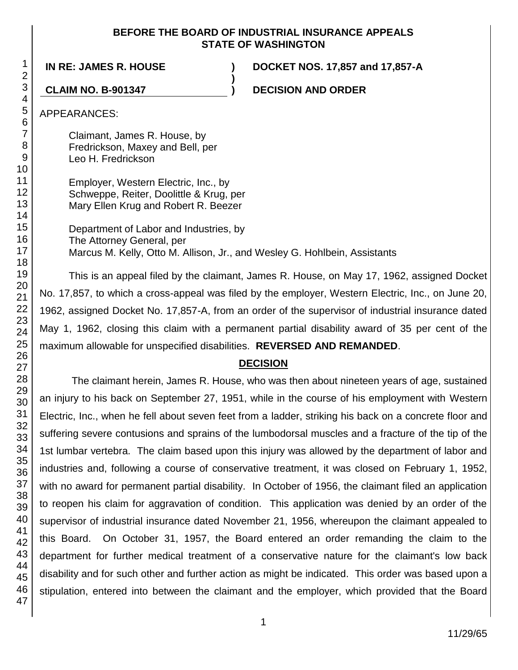### **BEFORE THE BOARD OF INDUSTRIAL INSURANCE APPEALS STATE OF WASHINGTON**

**IN RE: JAMES R. HOUSE ) DOCKET NOS. 17,857 and 17,857-A**

**CLAIM NO. B-901347 ) DECISION AND ORDER**

APPEARANCES:

Claimant, James R. House, by Fredrickson, Maxey and Bell, per Leo H. Fredrickson

Employer, Western Electric, Inc., by Schweppe, Reiter, Doolittle & Krug, per Mary Ellen Krug and Robert R. Beezer

Department of Labor and Industries, by The Attorney General, per Marcus M. Kelly, Otto M. Allison, Jr., and Wesley G. Hohlbein, Assistants

**)**

This is an appeal filed by the claimant, James R. House, on May 17, 1962, assigned Docket No. 17,857, to which a cross-appeal was filed by the employer, Western Electric, Inc., on June 20, 1962, assigned Docket No. 17,857-A, from an order of the supervisor of industrial insurance dated May 1, 1962, closing this claim with a permanent partial disability award of 35 per cent of the maximum allowable for unspecified disabilities. **REVERSED AND REMANDED**.

## **DECISION**

The claimant herein, James R. House, who was then about nineteen years of age, sustained an injury to his back on September 27, 1951, while in the course of his employment with Western Electric, Inc., when he fell about seven feet from a ladder, striking his back on a concrete floor and suffering severe contusions and sprains of the lumbodorsal muscles and a fracture of the tip of the 1st lumbar vertebra. The claim based upon this injury was allowed by the department of labor and industries and, following a course of conservative treatment, it was closed on February 1, 1952, with no award for permanent partial disability. In October of 1956, the claimant filed an application to reopen his claim for aggravation of condition. This application was denied by an order of the supervisor of industrial insurance dated November 21, 1956, whereupon the claimant appealed to this Board. On October 31, 1957, the Board entered an order remanding the claim to the department for further medical treatment of a conservative nature for the claimant's low back disability and for such other and further action as might be indicated. This order was based upon a stipulation, entered into between the claimant and the employer, which provided that the Board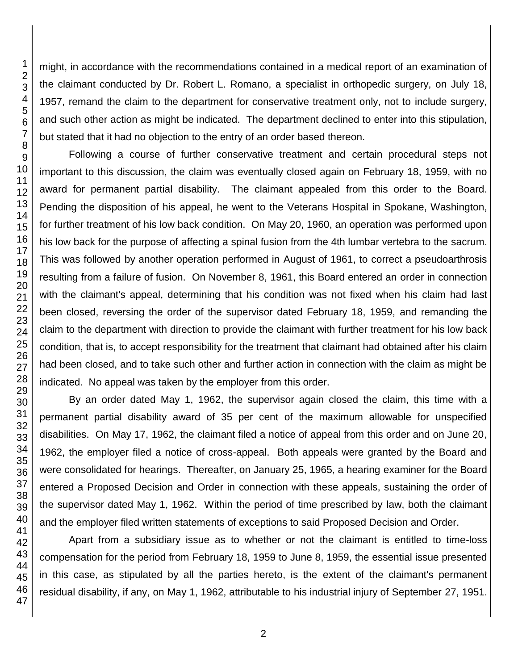might, in accordance with the recommendations contained in a medical report of an examination of the claimant conducted by Dr. Robert L. Romano, a specialist in orthopedic surgery, on July 18, 1957, remand the claim to the department for conservative treatment only, not to include surgery, and such other action as might be indicated. The department declined to enter into this stipulation, but stated that it had no objection to the entry of an order based thereon.

Following a course of further conservative treatment and certain procedural steps not important to this discussion, the claim was eventually closed again on February 18, 1959, with no award for permanent partial disability. The claimant appealed from this order to the Board. Pending the disposition of his appeal, he went to the Veterans Hospital in Spokane, Washington, for further treatment of his low back condition. On May 20, 1960, an operation was performed upon his low back for the purpose of affecting a spinal fusion from the 4th lumbar vertebra to the sacrum. This was followed by another operation performed in August of 1961, to correct a pseudoarthrosis resulting from a failure of fusion. On November 8, 1961, this Board entered an order in connection with the claimant's appeal, determining that his condition was not fixed when his claim had last been closed, reversing the order of the supervisor dated February 18, 1959, and remanding the claim to the department with direction to provide the claimant with further treatment for his low back condition, that is, to accept responsibility for the treatment that claimant had obtained after his claim had been closed, and to take such other and further action in connection with the claim as might be indicated. No appeal was taken by the employer from this order.

By an order dated May 1, 1962, the supervisor again closed the claim, this time with a permanent partial disability award of 35 per cent of the maximum allowable for unspecified disabilities. On May 17, 1962, the claimant filed a notice of appeal from this order and on June 20, 1962, the employer filed a notice of cross-appeal. Both appeals were granted by the Board and were consolidated for hearings. Thereafter, on January 25, 1965, a hearing examiner for the Board entered a Proposed Decision and Order in connection with these appeals, sustaining the order of the supervisor dated May 1, 1962. Within the period of time prescribed by law, both the claimant and the employer filed written statements of exceptions to said Proposed Decision and Order.

Apart from a subsidiary issue as to whether or not the claimant is entitled to time-loss compensation for the period from February 18, 1959 to June 8, 1959, the essential issue presented in this case, as stipulated by all the parties hereto, is the extent of the claimant's permanent residual disability, if any, on May 1, 1962, attributable to his industrial injury of September 27, 1951.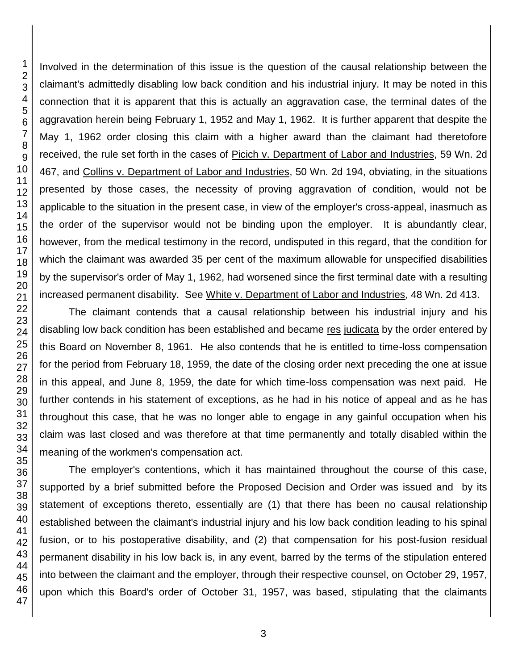Involved in the determination of this issue is the question of the causal relationship between the claimant's admittedly disabling low back condition and his industrial injury. It may be noted in this connection that it is apparent that this is actually an aggravation case, the terminal dates of the aggravation herein being February 1, 1952 and May 1, 1962. It is further apparent that despite the May 1, 1962 order closing this claim with a higher award than the claimant had theretofore received, the rule set forth in the cases of Picich v. Department of Labor and Industries, 59 Wn. 2d 467, and Collins v. Department of Labor and Industries, 50 Wn. 2d 194, obviating, in the situations presented by those cases, the necessity of proving aggravation of condition, would not be applicable to the situation in the present case, in view of the employer's cross-appeal, inasmuch as the order of the supervisor would not be binding upon the employer. It is abundantly clear, however, from the medical testimony in the record, undisputed in this regard, that the condition for which the claimant was awarded 35 per cent of the maximum allowable for unspecified disabilities by the supervisor's order of May 1, 1962, had worsened since the first terminal date with a resulting increased permanent disability. See White v. Department of Labor and Industries, 48 Wn. 2d 413.

The claimant contends that a causal relationship between his industrial injury and his disabling low back condition has been established and became res judicata by the order entered by this Board on November 8, 1961. He also contends that he is entitled to time-loss compensation for the period from February 18, 1959, the date of the closing order next preceding the one at issue in this appeal, and June 8, 1959, the date for which time-loss compensation was next paid. He further contends in his statement of exceptions, as he had in his notice of appeal and as he has throughout this case, that he was no longer able to engage in any gainful occupation when his claim was last closed and was therefore at that time permanently and totally disabled within the meaning of the workmen's compensation act.

The employer's contentions, which it has maintained throughout the course of this case, supported by a brief submitted before the Proposed Decision and Order was issued and by its statement of exceptions thereto, essentially are (1) that there has been no causal relationship established between the claimant's industrial injury and his low back condition leading to his spinal fusion, or to his postoperative disability, and (2) that compensation for his post-fusion residual permanent disability in his low back is, in any event, barred by the terms of the stipulation entered into between the claimant and the employer, through their respective counsel, on October 29, 1957, upon which this Board's order of October 31, 1957, was based, stipulating that the claimants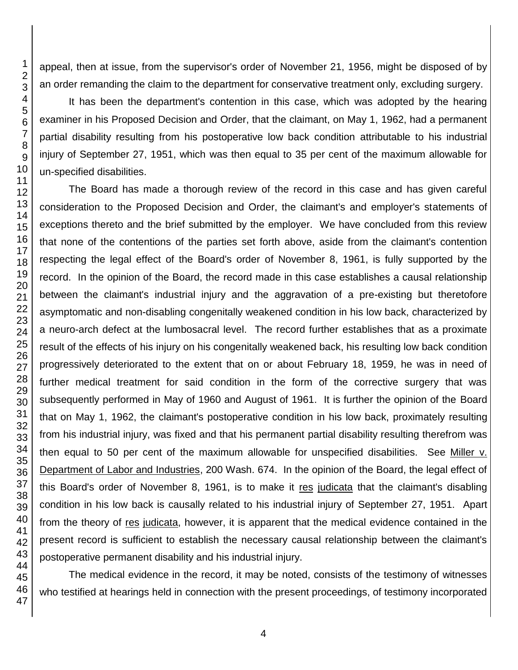appeal, then at issue, from the supervisor's order of November 21, 1956, might be disposed of by an order remanding the claim to the department for conservative treatment only, excluding surgery.

It has been the department's contention in this case, which was adopted by the hearing examiner in his Proposed Decision and Order, that the claimant, on May 1, 1962, had a permanent partial disability resulting from his postoperative low back condition attributable to his industrial injury of September 27, 1951, which was then equal to 35 per cent of the maximum allowable for un-specified disabilities.

The Board has made a thorough review of the record in this case and has given careful consideration to the Proposed Decision and Order, the claimant's and employer's statements of exceptions thereto and the brief submitted by the employer. We have concluded from this review that none of the contentions of the parties set forth above, aside from the claimant's contention respecting the legal effect of the Board's order of November 8, 1961, is fully supported by the record. In the opinion of the Board, the record made in this case establishes a causal relationship between the claimant's industrial injury and the aggravation of a pre-existing but theretofore asymptomatic and non-disabling congenitally weakened condition in his low back, characterized by a neuro-arch defect at the lumbosacral level. The record further establishes that as a proximate result of the effects of his injury on his congenitally weakened back, his resulting low back condition progressively deteriorated to the extent that on or about February 18, 1959, he was in need of further medical treatment for said condition in the form of the corrective surgery that was subsequently performed in May of 1960 and August of 1961. It is further the opinion of the Board that on May 1, 1962, the claimant's postoperative condition in his low back, proximately resulting from his industrial injury, was fixed and that his permanent partial disability resulting therefrom was then equal to 50 per cent of the maximum allowable for unspecified disabilities. See Miller v. Department of Labor and Industries, 200 Wash. 674. In the opinion of the Board, the legal effect of this Board's order of November 8, 1961, is to make it res judicata that the claimant's disabling condition in his low back is causally related to his industrial injury of September 27, 1951. Apart from the theory of res judicata, however, it is apparent that the medical evidence contained in the present record is sufficient to establish the necessary causal relationship between the claimant's postoperative permanent disability and his industrial injury.

The medical evidence in the record, it may be noted, consists of the testimony of witnesses who testified at hearings held in connection with the present proceedings, of testimony incorporated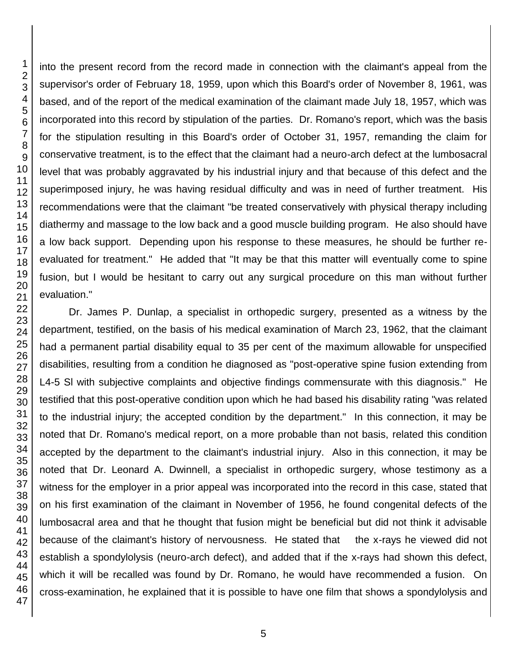into the present record from the record made in connection with the claimant's appeal from the supervisor's order of February 18, 1959, upon which this Board's order of November 8, 1961, was based, and of the report of the medical examination of the claimant made July 18, 1957, which was incorporated into this record by stipulation of the parties. Dr. Romano's report, which was the basis for the stipulation resulting in this Board's order of October 31, 1957, remanding the claim for conservative treatment, is to the effect that the claimant had a neuro-arch defect at the lumbosacral level that was probably aggravated by his industrial injury and that because of this defect and the superimposed injury, he was having residual difficulty and was in need of further treatment. His recommendations were that the claimant "be treated conservatively with physical therapy including diathermy and massage to the low back and a good muscle building program. He also should have a low back support. Depending upon his response to these measures, he should be further reevaluated for treatment." He added that "It may be that this matter will eventually come to spine fusion, but I would be hesitant to carry out any surgical procedure on this man without further evaluation."

Dr. James P. Dunlap, a specialist in orthopedic surgery, presented as a witness by the department, testified, on the basis of his medical examination of March 23, 1962, that the claimant had a permanent partial disability equal to 35 per cent of the maximum allowable for unspecified disabilities, resulting from a condition he diagnosed as "post-operative spine fusion extending from L4-5 Sl with subjective complaints and objective findings commensurate with this diagnosis." He testified that this post-operative condition upon which he had based his disability rating "was related to the industrial injury; the accepted condition by the department." In this connection, it may be noted that Dr. Romano's medical report, on a more probable than not basis, related this condition accepted by the department to the claimant's industrial injury. Also in this connection, it may be noted that Dr. Leonard A. Dwinnell, a specialist in orthopedic surgery, whose testimony as a witness for the employer in a prior appeal was incorporated into the record in this case, stated that on his first examination of the claimant in November of 1956, he found congenital defects of the lumbosacral area and that he thought that fusion might be beneficial but did not think it advisable because of the claimant's history of nervousness. He stated that the x-rays he viewed did not establish a spondylolysis (neuro-arch defect), and added that if the x-rays had shown this defect, which it will be recalled was found by Dr. Romano, he would have recommended a fusion. On cross-examination, he explained that it is possible to have one film that shows a spondylolysis and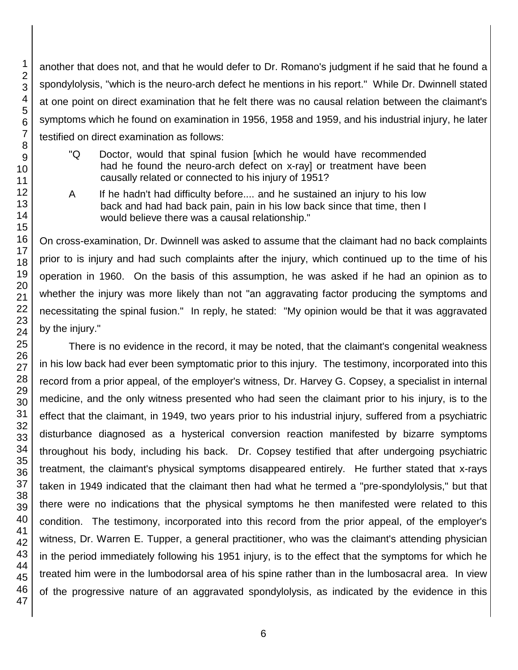another that does not, and that he would defer to Dr. Romano's judgment if he said that he found a spondylolysis, "which is the neuro-arch defect he mentions in his report." While Dr. Dwinnell stated at one point on direct examination that he felt there was no causal relation between the claimant's symptoms which he found on examination in 1956, 1958 and 1959, and his industrial injury, he later testified on direct examination as follows:

- "Q Doctor, would that spinal fusion [which he would have recommended had he found the neuro-arch defect on x-ray] or treatment have been causally related or connected to his injury of 1951?
- A If he hadn't had difficulty before.... and he sustained an injury to his low back and had had back pain, pain in his low back since that time, then I would believe there was a causal relationship."

On cross-examination, Dr. Dwinnell was asked to assume that the claimant had no back complaints prior to is injury and had such complaints after the injury, which continued up to the time of his operation in 1960. On the basis of this assumption, he was asked if he had an opinion as to whether the injury was more likely than not "an aggravating factor producing the symptoms and necessitating the spinal fusion." In reply, he stated: "My opinion would be that it was aggravated by the injury."

There is no evidence in the record, it may be noted, that the claimant's congenital weakness in his low back had ever been symptomatic prior to this injury. The testimony, incorporated into this record from a prior appeal, of the employer's witness, Dr. Harvey G. Copsey, a specialist in internal medicine, and the only witness presented who had seen the claimant prior to his injury, is to the effect that the claimant, in 1949, two years prior to his industrial injury, suffered from a psychiatric disturbance diagnosed as a hysterical conversion reaction manifested by bizarre symptoms throughout his body, including his back. Dr. Copsey testified that after undergoing psychiatric treatment, the claimant's physical symptoms disappeared entirely. He further stated that x-rays taken in 1949 indicated that the claimant then had what he termed a "pre-spondylolysis," but that there were no indications that the physical symptoms he then manifested were related to this condition. The testimony, incorporated into this record from the prior appeal, of the employer's witness, Dr. Warren E. Tupper, a general practitioner, who was the claimant's attending physician in the period immediately following his 1951 injury, is to the effect that the symptoms for which he treated him were in the lumbodorsal area of his spine rather than in the lumbosacral area. In view of the progressive nature of an aggravated spondylolysis, as indicated by the evidence in this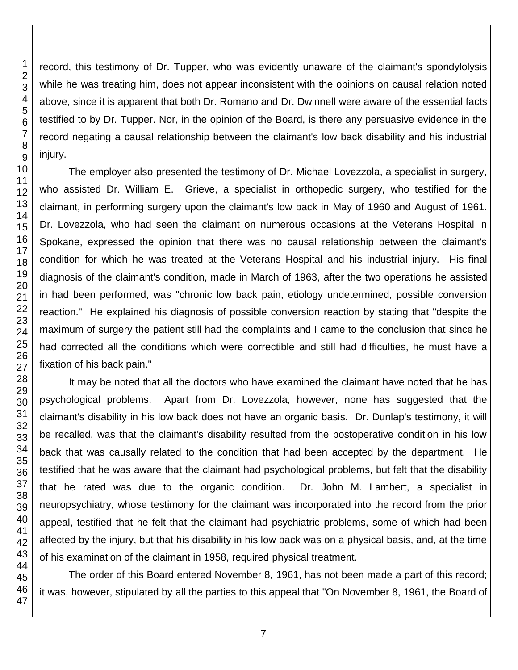record, this testimony of Dr. Tupper, who was evidently unaware of the claimant's spondylolysis while he was treating him, does not appear inconsistent with the opinions on causal relation noted above, since it is apparent that both Dr. Romano and Dr. Dwinnell were aware of the essential facts testified to by Dr. Tupper. Nor, in the opinion of the Board, is there any persuasive evidence in the record negating a causal relationship between the claimant's low back disability and his industrial injury.

The employer also presented the testimony of Dr. Michael Lovezzola, a specialist in surgery, who assisted Dr. William E. Grieve, a specialist in orthopedic surgery, who testified for the claimant, in performing surgery upon the claimant's low back in May of 1960 and August of 1961. Dr. Lovezzola, who had seen the claimant on numerous occasions at the Veterans Hospital in Spokane, expressed the opinion that there was no causal relationship between the claimant's condition for which he was treated at the Veterans Hospital and his industrial injury. His final diagnosis of the claimant's condition, made in March of 1963, after the two operations he assisted in had been performed, was "chronic low back pain, etiology undetermined, possible conversion reaction." He explained his diagnosis of possible conversion reaction by stating that "despite the maximum of surgery the patient still had the complaints and I came to the conclusion that since he had corrected all the conditions which were correctible and still had difficulties, he must have a fixation of his back pain."

It may be noted that all the doctors who have examined the claimant have noted that he has psychological problems. Apart from Dr. Lovezzola, however, none has suggested that the claimant's disability in his low back does not have an organic basis. Dr. Dunlap's testimony, it will be recalled, was that the claimant's disability resulted from the postoperative condition in his low back that was causally related to the condition that had been accepted by the department. He testified that he was aware that the claimant had psychological problems, but felt that the disability that he rated was due to the organic condition. Dr. John M. Lambert, a specialist in neuropsychiatry, whose testimony for the claimant was incorporated into the record from the prior appeal, testified that he felt that the claimant had psychiatric problems, some of which had been affected by the injury, but that his disability in his low back was on a physical basis, and, at the time of his examination of the claimant in 1958, required physical treatment.

The order of this Board entered November 8, 1961, has not been made a part of this record; it was, however, stipulated by all the parties to this appeal that "On November 8, 1961, the Board of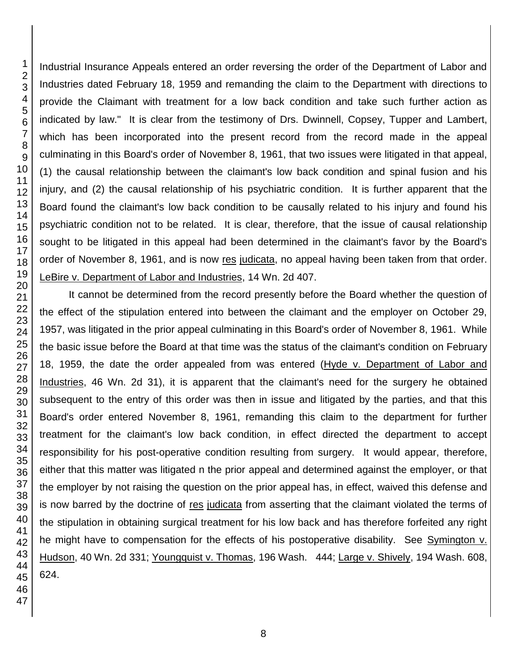Industrial Insurance Appeals entered an order reversing the order of the Department of Labor and Industries dated February 18, 1959 and remanding the claim to the Department with directions to provide the Claimant with treatment for a low back condition and take such further action as indicated by law." It is clear from the testimony of Drs. Dwinnell, Copsey, Tupper and Lambert, which has been incorporated into the present record from the record made in the appeal culminating in this Board's order of November 8, 1961, that two issues were litigated in that appeal, (1) the causal relationship between the claimant's low back condition and spinal fusion and his injury, and (2) the causal relationship of his psychiatric condition. It is further apparent that the Board found the claimant's low back condition to be causally related to his injury and found his psychiatric condition not to be related. It is clear, therefore, that the issue of causal relationship sought to be litigated in this appeal had been determined in the claimant's favor by the Board's order of November 8, 1961, and is now res judicata, no appeal having been taken from that order. LeBire v. Department of Labor and Industries, 14 Wn. 2d 407.

It cannot be determined from the record presently before the Board whether the question of the effect of the stipulation entered into between the claimant and the employer on October 29, 1957, was litigated in the prior appeal culminating in this Board's order of November 8, 1961. While the basic issue before the Board at that time was the status of the claimant's condition on February 18, 1959, the date the order appealed from was entered (Hyde v. Department of Labor and Industries, 46 Wn. 2d 31), it is apparent that the claimant's need for the surgery he obtained subsequent to the entry of this order was then in issue and litigated by the parties, and that this Board's order entered November 8, 1961, remanding this claim to the department for further treatment for the claimant's low back condition, in effect directed the department to accept responsibility for his post-operative condition resulting from surgery. It would appear, therefore, either that this matter was litigated n the prior appeal and determined against the employer, or that the employer by not raising the question on the prior appeal has, in effect, waived this defense and is now barred by the doctrine of res judicata from asserting that the claimant violated the terms of the stipulation in obtaining surgical treatment for his low back and has therefore forfeited any right he might have to compensation for the effects of his postoperative disability. See Symington v. Hudson, 40 Wn. 2d 331; Youngquist v. Thomas, 196 Wash. 444; Large v. Shively, 194 Wash. 608, 624.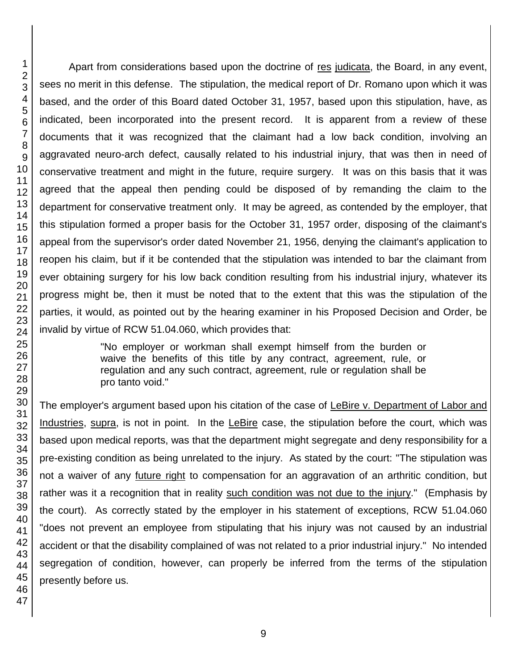Apart from considerations based upon the doctrine of res judicata, the Board, in any event, sees no merit in this defense. The stipulation, the medical report of Dr. Romano upon which it was based, and the order of this Board dated October 31, 1957, based upon this stipulation, have, as indicated, been incorporated into the present record. It is apparent from a review of these documents that it was recognized that the claimant had a low back condition, involving an aggravated neuro-arch defect, causally related to his industrial injury, that was then in need of conservative treatment and might in the future, require surgery. It was on this basis that it was agreed that the appeal then pending could be disposed of by remanding the claim to the department for conservative treatment only. It may be agreed, as contended by the employer, that this stipulation formed a proper basis for the October 31, 1957 order, disposing of the claimant's appeal from the supervisor's order dated November 21, 1956, denying the claimant's application to reopen his claim, but if it be contended that the stipulation was intended to bar the claimant from ever obtaining surgery for his low back condition resulting from his industrial injury, whatever its progress might be, then it must be noted that to the extent that this was the stipulation of the parties, it would, as pointed out by the hearing examiner in his Proposed Decision and Order, be invalid by virtue of RCW 51.04.060, which provides that:

> "No employer or workman shall exempt himself from the burden or waive the benefits of this title by any contract, agreement, rule, or regulation and any such contract, agreement, rule or regulation shall be pro tanto void."

The employer's argument based upon his citation of the case of LeBire v. Department of Labor and Industries, supra, is not in point. In the LeBire case, the stipulation before the court, which was based upon medical reports, was that the department might segregate and deny responsibility for a pre-existing condition as being unrelated to the injury. As stated by the court: "The stipulation was not a waiver of any future right to compensation for an aggravation of an arthritic condition, but rather was it a recognition that in reality such condition was not due to the injury." (Emphasis by the court). As correctly stated by the employer in his statement of exceptions, RCW 51.04.060 "does not prevent an employee from stipulating that his injury was not caused by an industrial accident or that the disability complained of was not related to a prior industrial injury." No intended segregation of condition, however, can properly be inferred from the terms of the stipulation presently before us.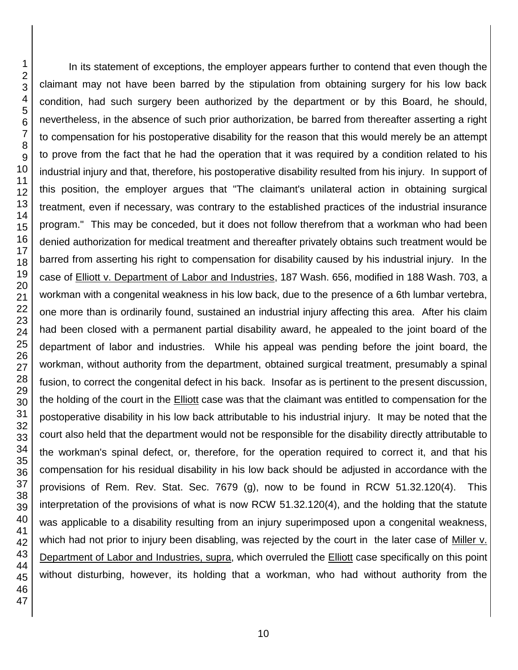In its statement of exceptions, the employer appears further to contend that even though the claimant may not have been barred by the stipulation from obtaining surgery for his low back condition, had such surgery been authorized by the department or by this Board, he should, nevertheless, in the absence of such prior authorization, be barred from thereafter asserting a right to compensation for his postoperative disability for the reason that this would merely be an attempt to prove from the fact that he had the operation that it was required by a condition related to his industrial injury and that, therefore, his postoperative disability resulted from his injury. In support of this position, the employer argues that "The claimant's unilateral action in obtaining surgical treatment, even if necessary, was contrary to the established practices of the industrial insurance program." This may be conceded, but it does not follow therefrom that a workman who had been denied authorization for medical treatment and thereafter privately obtains such treatment would be barred from asserting his right to compensation for disability caused by his industrial injury. In the case of Elliott v. Department of Labor and Industries, 187 Wash. 656, modified in 188 Wash. 703, a workman with a congenital weakness in his low back, due to the presence of a 6th lumbar vertebra, one more than is ordinarily found, sustained an industrial injury affecting this area. After his claim had been closed with a permanent partial disability award, he appealed to the joint board of the department of labor and industries. While his appeal was pending before the joint board, the workman, without authority from the department, obtained surgical treatment, presumably a spinal fusion, to correct the congenital defect in his back. Insofar as is pertinent to the present discussion, the holding of the court in the Elliott case was that the claimant was entitled to compensation for the postoperative disability in his low back attributable to his industrial injury. It may be noted that the court also held that the department would not be responsible for the disability directly attributable to the workman's spinal defect, or, therefore, for the operation required to correct it, and that his compensation for his residual disability in his low back should be adjusted in accordance with the provisions of Rem. Rev. Stat. Sec. 7679 (g), now to be found in RCW 51.32.120(4). This interpretation of the provisions of what is now RCW 51.32.120(4), and the holding that the statute was applicable to a disability resulting from an injury superimposed upon a congenital weakness, which had not prior to injury been disabling, was rejected by the court in the later case of Miller v. Department of Labor and Industries, supra, which overruled the **Elliott** case specifically on this point without disturbing, however, its holding that a workman, who had without authority from the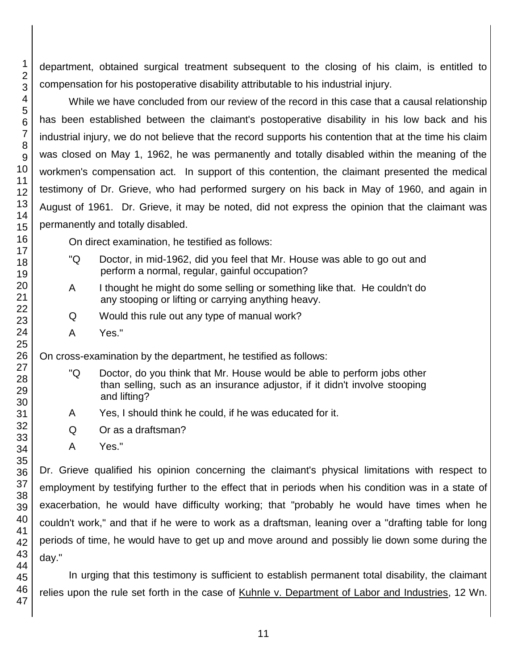department, obtained surgical treatment subsequent to the closing of his claim, is entitled to compensation for his postoperative disability attributable to his industrial injury.

While we have concluded from our review of the record in this case that a causal relationship has been established between the claimant's postoperative disability in his low back and his industrial injury, we do not believe that the record supports his contention that at the time his claim was closed on May 1, 1962, he was permanently and totally disabled within the meaning of the workmen's compensation act. In support of this contention, the claimant presented the medical testimony of Dr. Grieve, who had performed surgery on his back in May of 1960, and again in August of 1961. Dr. Grieve, it may be noted, did not express the opinion that the claimant was permanently and totally disabled.

On direct examination, he testified as follows:

- "Q Doctor, in mid-1962, did you feel that Mr. House was able to go out and perform a normal, regular, gainful occupation?
- A I thought he might do some selling or something like that. He couldn't do any stooping or lifting or carrying anything heavy.
- Q Would this rule out any type of manual work?
- A Yes."

On cross-examination by the department, he testified as follows:

- "Q Doctor, do you think that Mr. House would be able to perform jobs other than selling, such as an insurance adjustor, if it didn't involve stooping and lifting?
- A Yes, I should think he could, if he was educated for it.
- Q Or as a draftsman?
- A Yes."

Dr. Grieve qualified his opinion concerning the claimant's physical limitations with respect to employment by testifying further to the effect that in periods when his condition was in a state of exacerbation, he would have difficulty working; that "probably he would have times when he couldn't work," and that if he were to work as a draftsman, leaning over a "drafting table for long periods of time, he would have to get up and move around and possibly lie down some during the day."

In urging that this testimony is sufficient to establish permanent total disability, the claimant relies upon the rule set forth in the case of Kuhnle v. Department of Labor and Industries, 12 Wn.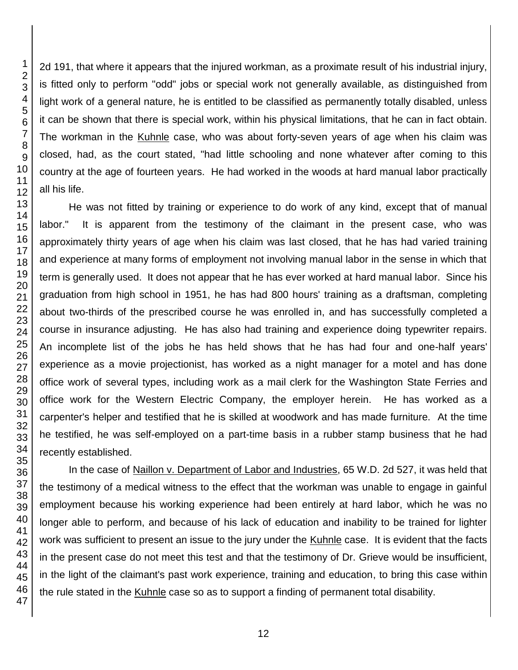2d 191, that where it appears that the injured workman, as a proximate result of his industrial injury, is fitted only to perform "odd" jobs or special work not generally available, as distinguished from light work of a general nature, he is entitled to be classified as permanently totally disabled, unless it can be shown that there is special work, within his physical limitations, that he can in fact obtain. The workman in the Kuhnle case, who was about forty-seven years of age when his claim was closed, had, as the court stated, "had little schooling and none whatever after coming to this country at the age of fourteen years. He had worked in the woods at hard manual labor practically all his life.

He was not fitted by training or experience to do work of any kind, except that of manual labor." It is apparent from the testimony of the claimant in the present case, who was approximately thirty years of age when his claim was last closed, that he has had varied training and experience at many forms of employment not involving manual labor in the sense in which that term is generally used. It does not appear that he has ever worked at hard manual labor. Since his graduation from high school in 1951, he has had 800 hours' training as a draftsman, completing about two-thirds of the prescribed course he was enrolled in, and has successfully completed a course in insurance adjusting. He has also had training and experience doing typewriter repairs. An incomplete list of the jobs he has held shows that he has had four and one-half years' experience as a movie projectionist, has worked as a night manager for a motel and has done office work of several types, including work as a mail clerk for the Washington State Ferries and office work for the Western Electric Company, the employer herein. He has worked as a carpenter's helper and testified that he is skilled at woodwork and has made furniture. At the time he testified, he was self-employed on a part-time basis in a rubber stamp business that he had recently established.

In the case of Naillon v. Department of Labor and Industries, 65 W.D. 2d 527, it was held that the testimony of a medical witness to the effect that the workman was unable to engage in gainful employment because his working experience had been entirely at hard labor, which he was no longer able to perform, and because of his lack of education and inability to be trained for lighter work was sufficient to present an issue to the jury under the Kuhnle case. It is evident that the facts in the present case do not meet this test and that the testimony of Dr. Grieve would be insufficient, in the light of the claimant's past work experience, training and education, to bring this case within the rule stated in the Kuhnle case so as to support a finding of permanent total disability.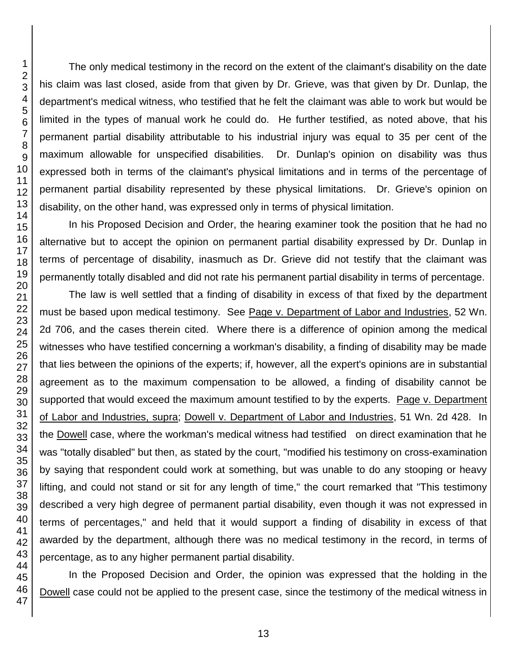The only medical testimony in the record on the extent of the claimant's disability on the date his claim was last closed, aside from that given by Dr. Grieve, was that given by Dr. Dunlap, the department's medical witness, who testified that he felt the claimant was able to work but would be limited in the types of manual work he could do. He further testified, as noted above, that his permanent partial disability attributable to his industrial injury was equal to 35 per cent of the maximum allowable for unspecified disabilities. Dr. Dunlap's opinion on disability was thus expressed both in terms of the claimant's physical limitations and in terms of the percentage of permanent partial disability represented by these physical limitations. Dr. Grieve's opinion on disability, on the other hand, was expressed only in terms of physical limitation.

In his Proposed Decision and Order, the hearing examiner took the position that he had no alternative but to accept the opinion on permanent partial disability expressed by Dr. Dunlap in terms of percentage of disability, inasmuch as Dr. Grieve did not testify that the claimant was permanently totally disabled and did not rate his permanent partial disability in terms of percentage.

The law is well settled that a finding of disability in excess of that fixed by the department must be based upon medical testimony. See Page v. Department of Labor and Industries, 52 Wn. 2d 706, and the cases therein cited. Where there is a difference of opinion among the medical witnesses who have testified concerning a workman's disability, a finding of disability may be made that lies between the opinions of the experts; if, however, all the expert's opinions are in substantial agreement as to the maximum compensation to be allowed, a finding of disability cannot be supported that would exceed the maximum amount testified to by the experts. Page v. Department of Labor and Industries, supra; Dowell v. Department of Labor and Industries, 51 Wn. 2d 428. In the Dowell case, where the workman's medical witness had testified on direct examination that he was "totally disabled" but then, as stated by the court, "modified his testimony on cross-examination by saying that respondent could work at something, but was unable to do any stooping or heavy lifting, and could not stand or sit for any length of time," the court remarked that "This testimony described a very high degree of permanent partial disability, even though it was not expressed in terms of percentages," and held that it would support a finding of disability in excess of that awarded by the department, although there was no medical testimony in the record, in terms of percentage, as to any higher permanent partial disability.

In the Proposed Decision and Order, the opinion was expressed that the holding in the Dowell case could not be applied to the present case, since the testimony of the medical witness in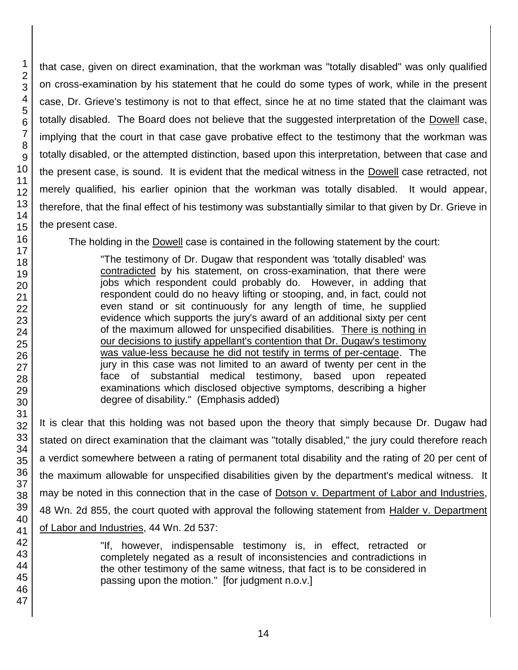that case, given on direct examination, that the workman was "totally disabled" was only qualified on cross-examination by his statement that he could do some types of work, while in the present case, Dr. Grieve's testimony is not to that effect, since he at no time stated that the claimant was totally disabled. The Board does not believe that the suggested interpretation of the Dowell case, implying that the court in that case gave probative effect to the testimony that the workman was totally disabled, or the attempted distinction, based upon this interpretation, between that case and the present case, is sound. It is evident that the medical witness in the Dowell case retracted, not merely qualified, his earlier opinion that the workman was totally disabled. It would appear, therefore, that the final effect of his testimony was substantially similar to that given by Dr. Grieve in the present case.

The holding in the Dowell case is contained in the following statement by the court:

"The testimony of Dr. Dugaw that respondent was 'totally disabled' was contradicted by his statement, on cross-examination, that there were jobs which respondent could probably do. However, in adding that respondent could do no heavy lifting or stooping, and, in fact, could not even stand or sit continuously for any length of time, he supplied evidence which supports the jury's award of an additional sixty per cent of the maximum allowed for unspecified disabilities. There is nothing in our decisions to justify appellant's contention that Dr. Dugaw's testimony was value-less because he did not testify in terms of per-centage. The jury in this case was not limited to an award of twenty per cent in the face of substantial medical testimony, based upon repeated examinations which disclosed objective symptoms, describing a higher degree of disability." (Emphasis added)

It is clear that this holding was not based upon the theory that simply because Dr. Dugaw had stated on direct examination that the claimant was "totally disabled," the jury could therefore reach a verdict somewhere between a rating of permanent total disability and the rating of 20 per cent of the maximum allowable for unspecified disabilities given by the department's medical witness. It may be noted in this connection that in the case of Dotson v. Department of Labor and Industries, 48 Wn. 2d 855, the court quoted with approval the following statement from Halder v. Department of Labor and Industries, 44 Wn. 2d 537:

> "If, however, indispensable testimony is, in effect, retracted or completely negated as a result of inconsistencies and contradictions in the other testimony of the same witness, that fact is to be considered in passing upon the motion." [for judgment n.o.v.]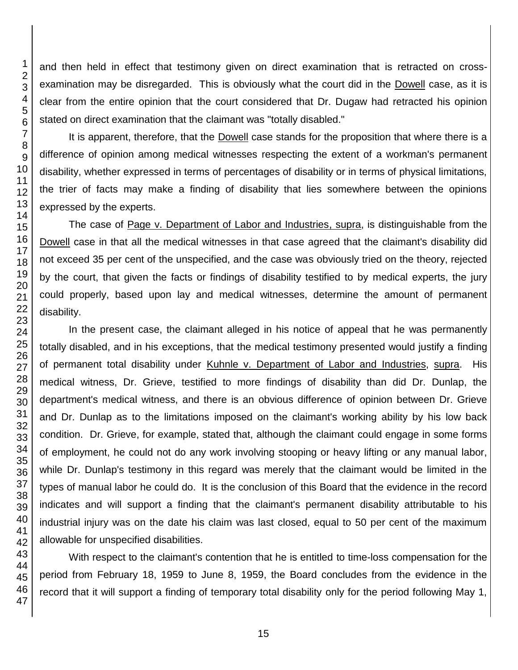and then held in effect that testimony given on direct examination that is retracted on crossexamination may be disregarded. This is obviously what the court did in the Dowell case, as it is clear from the entire opinion that the court considered that Dr. Dugaw had retracted his opinion stated on direct examination that the claimant was "totally disabled."

It is apparent, therefore, that the Dowell case stands for the proposition that where there is a difference of opinion among medical witnesses respecting the extent of a workman's permanent disability, whether expressed in terms of percentages of disability or in terms of physical limitations, the trier of facts may make a finding of disability that lies somewhere between the opinions expressed by the experts.

The case of Page v. Department of Labor and Industries, supra, is distinguishable from the Dowell case in that all the medical witnesses in that case agreed that the claimant's disability did not exceed 35 per cent of the unspecified, and the case was obviously tried on the theory, rejected by the court, that given the facts or findings of disability testified to by medical experts, the jury could properly, based upon lay and medical witnesses, determine the amount of permanent disability.

In the present case, the claimant alleged in his notice of appeal that he was permanently totally disabled, and in his exceptions, that the medical testimony presented would justify a finding of permanent total disability under Kuhnle v. Department of Labor and Industries, supra. His medical witness, Dr. Grieve, testified to more findings of disability than did Dr. Dunlap, the department's medical witness, and there is an obvious difference of opinion between Dr. Grieve and Dr. Dunlap as to the limitations imposed on the claimant's working ability by his low back condition. Dr. Grieve, for example, stated that, although the claimant could engage in some forms of employment, he could not do any work involving stooping or heavy lifting or any manual labor, while Dr. Dunlap's testimony in this regard was merely that the claimant would be limited in the types of manual labor he could do. It is the conclusion of this Board that the evidence in the record indicates and will support a finding that the claimant's permanent disability attributable to his industrial injury was on the date his claim was last closed, equal to 50 per cent of the maximum allowable for unspecified disabilities.

With respect to the claimant's contention that he is entitled to time-loss compensation for the period from February 18, 1959 to June 8, 1959, the Board concludes from the evidence in the record that it will support a finding of temporary total disability only for the period following May 1,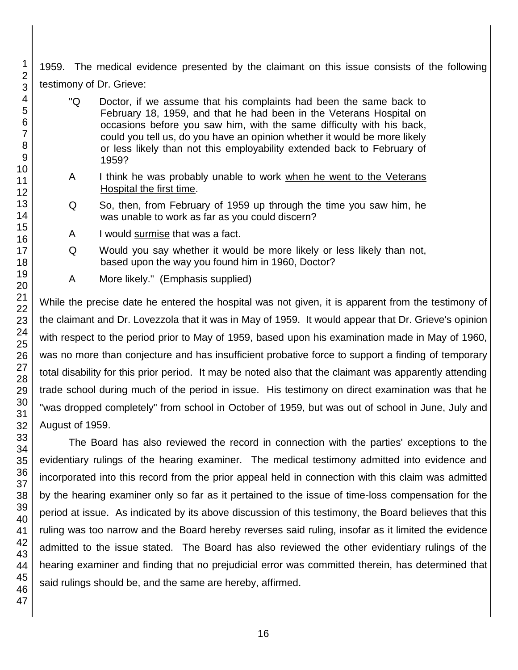1959. The medical evidence presented by the claimant on this issue consists of the following testimony of Dr. Grieve:

- "Q Doctor, if we assume that his complaints had been the same back to February 18, 1959, and that he had been in the Veterans Hospital on occasions before you saw him, with the same difficulty with his back, could you tell us, do you have an opinion whether it would be more likely or less likely than not this employability extended back to February of 1959?
- A I think he was probably unable to work when he went to the Veterans Hospital the first time.
- Q So, then, from February of 1959 up through the time you saw him, he was unable to work as far as you could discern?
- A I would surmise that was a fact.
- Q Would you say whether it would be more likely or less likely than not, based upon the way you found him in 1960, Doctor?
- A More likely." (Emphasis supplied)

While the precise date he entered the hospital was not given, it is apparent from the testimony of the claimant and Dr. Lovezzola that it was in May of 1959. It would appear that Dr. Grieve's opinion with respect to the period prior to May of 1959, based upon his examination made in May of 1960, was no more than conjecture and has insufficient probative force to support a finding of temporary total disability for this prior period. It may be noted also that the claimant was apparently attending trade school during much of the period in issue. His testimony on direct examination was that he "was dropped completely" from school in October of 1959, but was out of school in June, July and August of 1959.

The Board has also reviewed the record in connection with the parties' exceptions to the evidentiary rulings of the hearing examiner. The medical testimony admitted into evidence and incorporated into this record from the prior appeal held in connection with this claim was admitted by the hearing examiner only so far as it pertained to the issue of time-loss compensation for the period at issue. As indicated by its above discussion of this testimony, the Board believes that this ruling was too narrow and the Board hereby reverses said ruling, insofar as it limited the evidence admitted to the issue stated. The Board has also reviewed the other evidentiary rulings of the hearing examiner and finding that no prejudicial error was committed therein, has determined that said rulings should be, and the same are hereby, affirmed.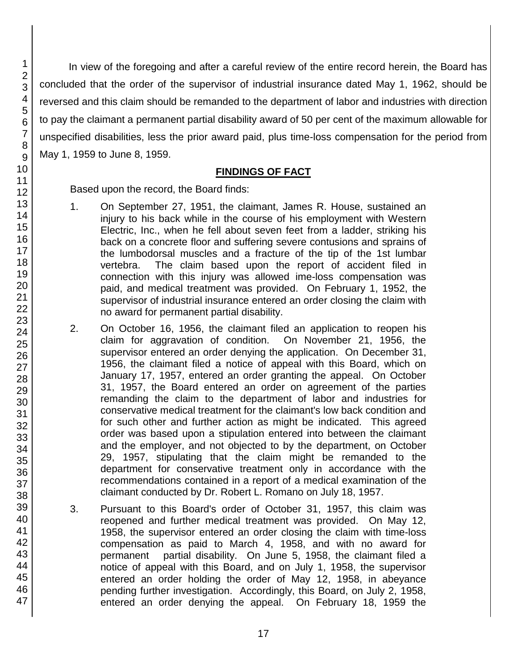In view of the foregoing and after a careful review of the entire record herein, the Board has concluded that the order of the supervisor of industrial insurance dated May 1, 1962, should be reversed and this claim should be remanded to the department of labor and industries with direction to pay the claimant a permanent partial disability award of 50 per cent of the maximum allowable for unspecified disabilities, less the prior award paid, plus time-loss compensation for the period from May 1, 1959 to June 8, 1959.

## **FINDINGS OF FACT**

Based upon the record, the Board finds:

- 1. On September 27, 1951, the claimant, James R. House, sustained an injury to his back while in the course of his employment with Western Electric, Inc., when he fell about seven feet from a ladder, striking his back on a concrete floor and suffering severe contusions and sprains of the lumbodorsal muscles and a fracture of the tip of the 1st lumbar vertebra. The claim based upon the report of accident filed in connection with this injury was allowed ime-loss compensation was paid, and medical treatment was provided. On February 1, 1952, the supervisor of industrial insurance entered an order closing the claim with no award for permanent partial disability.
- 2. On October 16, 1956, the claimant filed an application to reopen his claim for aggravation of condition. On November 21, 1956, the supervisor entered an order denying the application. On December 31, 1956, the claimant filed a notice of appeal with this Board, which on January 17, 1957, entered an order granting the appeal. On October 31, 1957, the Board entered an order on agreement of the parties remanding the claim to the department of labor and industries for conservative medical treatment for the claimant's low back condition and for such other and further action as might be indicated. This agreed order was based upon a stipulation entered into between the claimant and the employer, and not objected to by the department, on October 29, 1957, stipulating that the claim might be remanded to the department for conservative treatment only in accordance with the recommendations contained in a report of a medical examination of the claimant conducted by Dr. Robert L. Romano on July 18, 1957.
- 3. Pursuant to this Board's order of October 31, 1957, this claim was reopened and further medical treatment was provided. On May 12, 1958, the supervisor entered an order closing the claim with time-loss compensation as paid to March 4, 1958, and with no award for permanent partial disability. On June 5, 1958, the claimant filed a notice of appeal with this Board, and on July 1, 1958, the supervisor entered an order holding the order of May 12, 1958, in abeyance pending further investigation. Accordingly, this Board, on July 2, 1958, entered an order denying the appeal. On February 18, 1959 the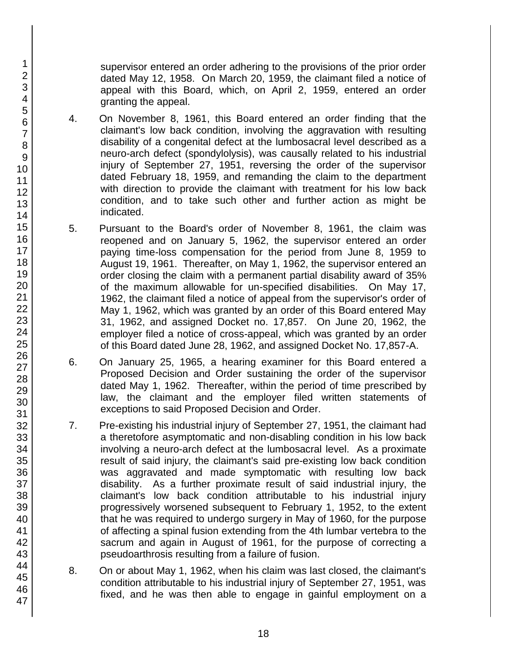supervisor entered an order adhering to the provisions of the prior order dated May 12, 1958. On March 20, 1959, the claimant filed a notice of appeal with this Board, which, on April 2, 1959, entered an order granting the appeal.

- 4. On November 8, 1961, this Board entered an order finding that the claimant's low back condition, involving the aggravation with resulting disability of a congenital defect at the lumbosacral level described as a neuro-arch defect (spondylolysis), was causally related to his industrial injury of September 27, 1951, reversing the order of the supervisor dated February 18, 1959, and remanding the claim to the department with direction to provide the claimant with treatment for his low back condition, and to take such other and further action as might be indicated.
- 5. Pursuant to the Board's order of November 8, 1961, the claim was reopened and on January 5, 1962, the supervisor entered an order paying time-loss compensation for the period from June 8, 1959 to August 19, 1961. Thereafter, on May 1, 1962, the supervisor entered an order closing the claim with a permanent partial disability award of 35% of the maximum allowable for un-specified disabilities. On May 17, 1962, the claimant filed a notice of appeal from the supervisor's order of May 1, 1962, which was granted by an order of this Board entered May 31, 1962, and assigned Docket no. 17,857. On June 20, 1962, the employer filed a notice of cross-appeal, which was granted by an order of this Board dated June 28, 1962, and assigned Docket No. 17,857-A.
- 6. On January 25, 1965, a hearing examiner for this Board entered a Proposed Decision and Order sustaining the order of the supervisor dated May 1, 1962. Thereafter, within the period of time prescribed by law, the claimant and the employer filed written statements of exceptions to said Proposed Decision and Order.
- 7. Pre-existing his industrial injury of September 27, 1951, the claimant had a theretofore asymptomatic and non-disabling condition in his low back involving a neuro-arch defect at the lumbosacral level. As a proximate result of said injury, the claimant's said pre-existing low back condition was aggravated and made symptomatic with resulting low back disability. As a further proximate result of said industrial injury, the claimant's low back condition attributable to his industrial injury progressively worsened subsequent to February 1, 1952, to the extent that he was required to undergo surgery in May of 1960, for the purpose of affecting a spinal fusion extending from the 4th lumbar vertebra to the sacrum and again in August of 1961, for the purpose of correcting a pseudoarthrosis resulting from a failure of fusion.
- 8. On or about May 1, 1962, when his claim was last closed, the claimant's condition attributable to his industrial injury of September 27, 1951, was fixed, and he was then able to engage in gainful employment on a

46 47